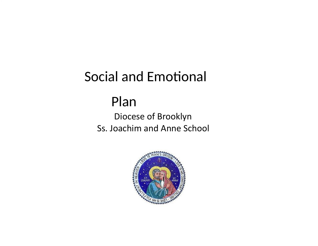# Social and Emotional

# Plan

 Diocese of Brooklyn Ss. Joachim and Anne School

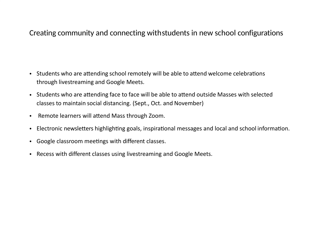#### Creating community and connecting withstudents in new school configurations

- Students who are attending school remotely will be able to attend welcome celebrations through livestreaming and Google Meets.
- Students who are attending face to face will be able to attend outside Masses with selected classes to maintain social distancing. (Sept., Oct. and November)
- Remote learners will attend Mass through Zoom.
- Electronic newsletters highlighting goals, inspirational messages and local and school information.
- Google classroom meetings with different classes.
- Recess with different classes using livestreaming and Google Meets.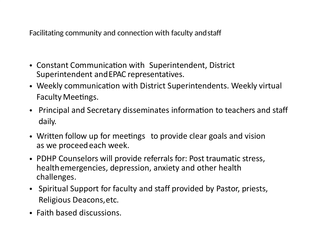Facilitating community and connection with faculty andstaff

- Constant Communication with Superintendent, District Superintendent andEPAC representatives.
- Weekly communication with District Superintendents. Weekly virtual Faculty Meetings.
- Principal and Secretary disseminates information to teachers and staff daily.
- Written follow up for meetings to provide clear goals and vision as we proceed each week.
- PDHP Counselors will provide referrals for: Post traumatic stress, healthemergencies, depression, anxiety and other health challenges.
- Spiritual Support for faculty and staff provided by Pastor, priests, Religious Deacons,etc.
- Faith based discussions.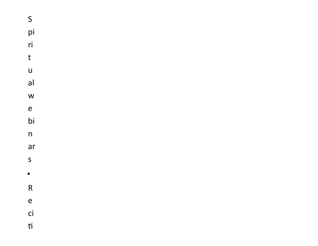S pi ri ri<br>t<br>u  $\mathbf t$  $\overline{u}$ al w<br>e bi n ar<br>s •R<br>e ci  $\mathsf{t}$ i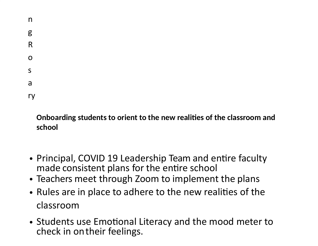| n  |  |  |  |
|----|--|--|--|
| g  |  |  |  |
| R  |  |  |  |
| O  |  |  |  |
| S  |  |  |  |
| a  |  |  |  |
| ry |  |  |  |

### **Onboarding students to orient to the new realities of the classroom and school**

- Principal, COVID 19 Leadership Team and entire faculty made consistent plans for the entire school
- Teachers meet through Zoom to implement the plans
- Rules are in place to adhere to the new realities of the classroom
- Students use Emotional Literacy and the mood meter to check in ontheir feelings.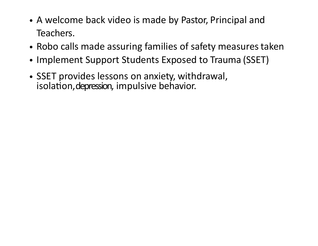- A welcome back video is made by Pastor, Principal and Teachers.
- Robo calls made assuring families of safety measures taken
- Implement Support Students Exposed to Trauma (SSET)
- SSET provides lessons on anxiety, withdrawal, isolation, depression, impulsive behavior.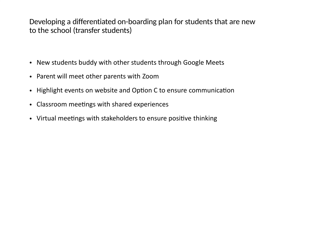Developing a differentiated on-boarding plan for students that are new to the school (transfer students)

- New students buddy with other students through Google Meets
- Parent will meet other parents with Zoom
- Highlight events on website and Option C to ensure communication
- Classroom meetings with shared experiences
- Virtual meetings with stakeholders to ensure positive thinking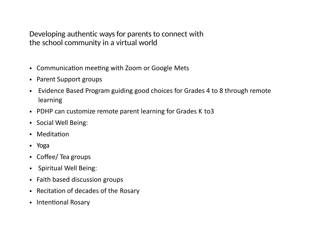Developing authentic ways for parents to connect with the school community in a virtual world

- Communication meeting with Zoom or Google Mets
- Parent Support groups
- Evidence Based Program guiding good choices for Grades 4 to 8 through remote learning
- PDHP can customize remote parent learning for Grades K to3
- Social Well Being:
- $\bullet$  Meditation
- Yoga
- Coffee/ Tea groups
- Spiritual Well Being:
- Faith based discussion groups
- Recitation of decades of the Rosary
- Intentional Rosary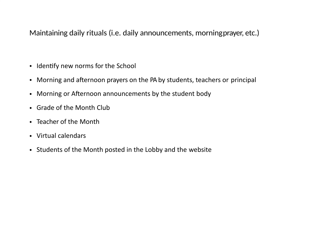Maintaining daily rituals (i.e. daily announcements, morningprayer, etc.)

- Identify new norms for the School
- Morning and afternoon prayers on the PA by students, teachers or principal
- Morning or Afternoon announcements by the student body
- Grade of the Month Club
- Teacher of the Month
- Virtual calendars
- Students of the Month posted in the Lobby and the website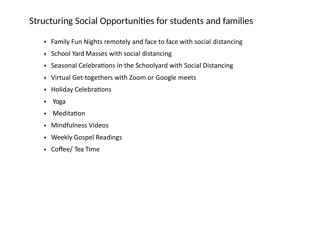### Structuring Social Opportunities for students and families

- Family Fun Nights remotely and face to face with social distancing
- School Yard Masses with social distancing
- Seasonal Celebrations in the Schoolyard with Social Distancing
- Virtual Get-togethers with Zoom or Google meets
- Holiday Celebrations
- Yoga
- Meditation
- Mindfulness Videos
- Weekly Gospel Readings
- Coffee/ Tea Time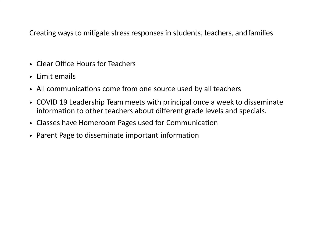Creating ways to mitigate stress responses in students, teachers, andfamilies

- Clear Office Hours for Teachers
- Limit emails
- All communications come from one source used by all teachers
- COVID 19 Leadership Team meets with principal once a week to disseminate information to other teachers about different grade levels and specials.
- Classes have Homeroom Pages used for Communication
- Parent Page to disseminate important information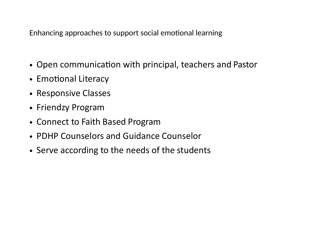Enhancing approaches to support social emotional learning

- Open communication with principal, teachers and Pastor
- Emotional Literacy
- Responsive Classes
- Friendzy Program
- Connect to Faith Based Program
- PDHP Counselors and Guidance Counselor
- Serve according to the needs of the students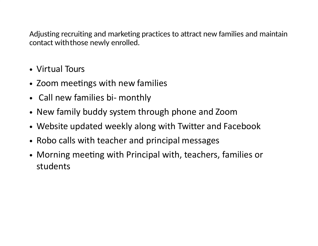Adjusting recruiting and marketing practices to attract new families and maintain contact withthose newly enrolled.

- Virtual Tours
- Zoom meetings with new families
- Call new families bi- monthly
- New family buddy system through phone and Zoom
- Website updated weekly along with Twitter and Facebook
- Robo calls with teacher and principal messages
- Morning meeting with Principal with, teachers, families or students